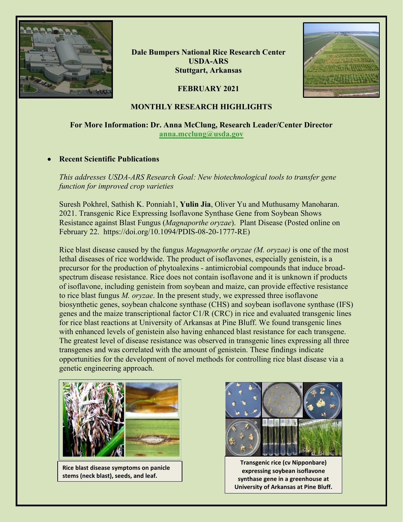

**Dale Bumpers National Rice Research Center USDA-ARS Stuttgart, Arkansas**



# **FEBRUARY 2021**

# **MONTHLY RESEARCH HIGHLIGHTS**

# **For More Information: Dr. Anna McClung, Research Leader/Center Director [anna.mcclung@usda.gov](mailto:anna.mcclung@usda.gov)**

#### • **Recent Scientific Publications**

*This addresses USDA-ARS Research Goal: New biotechnological tools to transfer gene function for improved crop varieties*

Suresh Pokhrel, Sathish K. Ponniah1, **Yulin Jia**, Oliver Yu and Muthusamy Manoharan. 2021. Transgenic Rice Expressing Isoflavone Synthase Gene from Soybean Shows Resistance against Blast Fungus (*Magnaporthe oryzae*). Plant Disease (Posted online on February 22. https://doi.org/10.1094/PDIS-08-20-1777-RE)

Rice blast disease caused by the fungus *Magnaporthe oryzae (M. oryzae)* is one of the most lethal diseases of rice worldwide. The product of isoflavones, especially genistein, is a precursor for the production of phytoalexins - antimicrobial compounds that induce broadspectrum disease resistance. Rice does not contain isoflavone and it is unknown if products of isoflavone, including genistein from soybean and maize, can provide effective resistance to rice blast fungus *M. oryzae*. In the present study, we expressed three isoflavone biosynthetic genes, soybean chalcone synthase (CHS) and soybean isoflavone synthase (IFS) genes and the maize transcriptional factor C1/R (CRC) in rice and evaluated transgenic lines for rice blast reactions at University of Arkansas at Pine Bluff. We found transgenic lines with enhanced levels of genistein also having enhanced blast resistance for each transgene. The greatest level of disease resistance was observed in transgenic lines expressing all three transgenes and was correlated with the amount of genistein. These findings indicate opportunities for the development of novel methods for controlling rice blast disease via a genetic engineering approach.



**Rice blast disease symptoms on panicle stems (neck blast), seeds, and leaf.**



**Transgenic rice (cv Nipponbare) expressing soybean isoflavone synthase gene in a greenhouse at University of Arkansas at Pine Bluff.**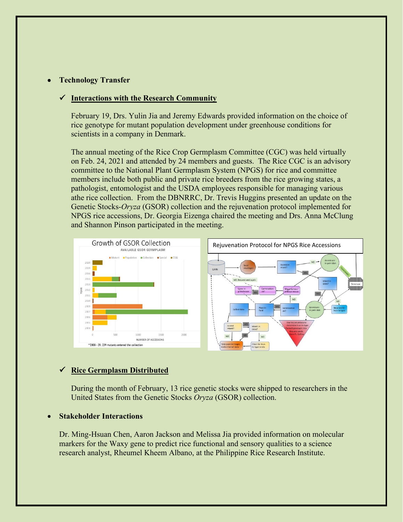# • **Technology Transfer**

#### **Interactions with the Research Community**

February 19, Drs. Yulin Jia and Jeremy Edwards provided information on the choice of rice genotype for mutant population development under greenhouse conditions for scientists in a company in Denmark.

The annual meeting of the Rice Crop Germplasm Committee (CGC) was held virtually on Feb. 24, 2021 and attended by 24 members and guests. The Rice CGC is an advisory committee to the National Plant Germplasm System (NPGS) for rice and committee members include both public and private rice breeders from the rice growing states, a pathologist, entomologist and the USDA employees responsible for managing various athe rice collection. From the DBNRRC, Dr. Trevis Huggins presented an update on the Genetic Stocks-*Oryza* (GSOR) collection and the rejuvenation protocol implemented for NPGS rice accessions, Dr. Georgia Eizenga chaired the meeting and Drs. Anna McClung and Shannon Pinson participated in the meeting.



#### **Rice Germplasm Distributed**

During the month of February, 13 rice genetic stocks were shipped to researchers in the United States from the Genetic Stocks *Oryza* (GSOR) collection.

### • **Stakeholder Interactions**

Dr. Ming-Hsuan Chen, Aaron Jackson and Melissa Jia provided information on molecular markers for the Waxy gene to predict rice functional and sensory qualities to a science research analyst, Rheumel Kheem Albano, at the Philippine Rice Research Institute.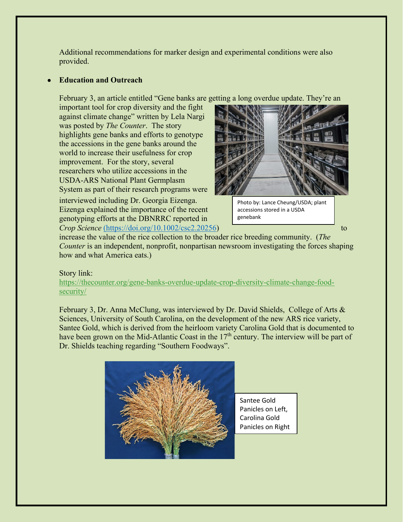Additional recommendations for marker design and experimental conditions were also provided.

# • **Education and Outreach**

February 3, an article entitled "Gene banks are getting a long overdue update. They're an

important tool for crop diversity and the fight against climate change" written by Lela Nargi was posted by *The Counter*. The story highlights gene banks and efforts to genotype the accessions in the gene banks around the world to increase their usefulness for crop improvement. For the story, several researchers who utilize accessions in the USDA-ARS National Plant Germplasm System as part of their research programs were

interviewed including Dr. Georgia Eizenga. Eizenga explained the importance of the recent genotyping efforts at the DBNRRC reported in *Crop Science* [\(https://doi.org/10.1002/csc2.20256\)](https://doi.org/10.1002/csc2.20256) to to



Photo by: Lance Cheung/USDA; plant accessions stored in a USDA genebank

increase the value of the rice collection to the broader rice breeding community. (*The Counter* is an independent, nonprofit, nonpartisan newsroom investigating the forces shaping how and what America eats.)

# Story link:

[https://thecounter.org/gene-banks-overdue-update-crop-diversity-climate-change-food](https://thecounter.org/gene-banks-overdue-update-crop-diversity-climate-change-food-security/)[security/](https://thecounter.org/gene-banks-overdue-update-crop-diversity-climate-change-food-security/)

February 3, Dr. Anna McClung, was interviewed by Dr. David Shields, College of Arts & Sciences, University of South Carolina, on the development of the new ARS rice variety, Santee Gold, which is derived from the heirloom variety Carolina Gold that is documented to have been grown on the Mid-Atlantic Coast in the  $17<sup>th</sup>$  century. The interview will be part of Dr. Shields teaching regarding "Southern Foodways".